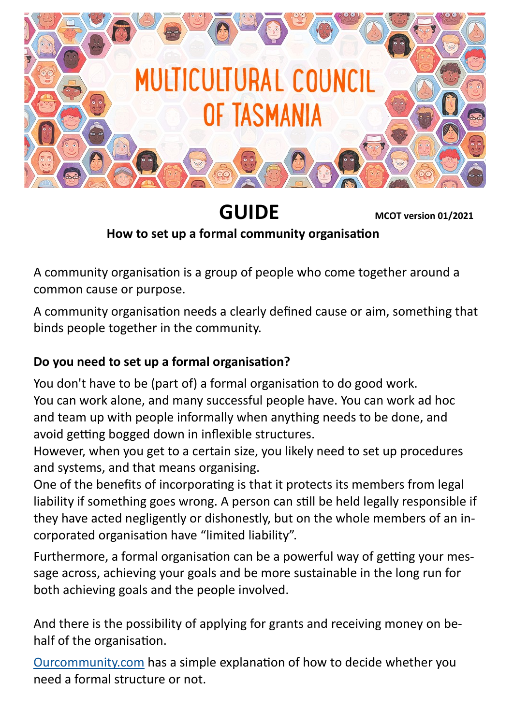

 **GUIDE MCOT version 01/2021 How to set up a formal community organisation** 

A community organisation is a group of people who come together around a common cause or purpose.

A community organisation needs a clearly defined cause or aim, something that binds people together in the community.

### **Do you need to set up a formal organisation?**

You don't have to be (part of) a formal organisation to do good work. You can work alone, and many successful people have. You can work ad hoc and team up with people informally when anything needs to be done, and avoid getting bogged down in inflexible structures.

However, when you get to a certain size, you likely need to set up procedures and systems, and that means organising.

One of the benefits of incorporating is that it protects its members from legal liability if something goes wrong. A person can still be held legally responsible if they have acted negligently or dishonestly, but on the whole members of an incorporated organisation have "limited liability".

Furthermore, a formal organisation can be a powerful way of getting your message across, achieving your goals and be more sustainable in the long run for both achieving goals and the people involved.

And there is the possibility of applying for grants and receiving money on behalf of the organisation.

[Ourcommunity.com](https://www.ourcommunity.com.au/management/view_help_sheet.do?articleid=2097) has a simple explanation of how to decide whether you need a formal structure or not.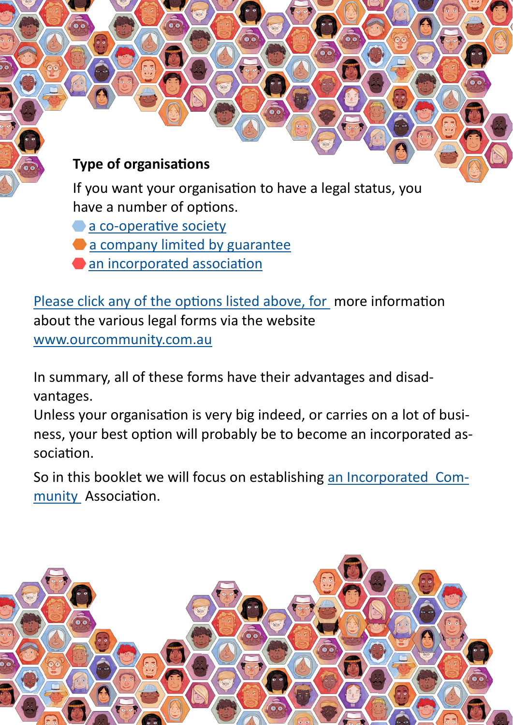# **Type of organisations**

If you want your organisation to have a legal status, you have a number of options.

- a co-[operative society](http://www.ourcommunity.com.au/management/view_help_sheet.do?articleid=2102)
- [a company limited by guarantee](http://www.ourcommunity.com.au/management/view_help_sheet.do?articleid=2104)
- [an incorporated association](https://www.ourcommunity.com.au/management/view_help_sheet.do?articleid=14)

Please click any of the options listed above, for more information about the various legal forms via the website [www.ourcommunity.com.au](http://www.ourcommunity.com.au)

In summary, all of these forms have their advantages and disadvantages.

Unless your organisation is very big indeed, or carries on a lot of business, your best option will probably be to become an incorporated association.

So in this booklet we will focus on establishing an Incorporated Community Association.

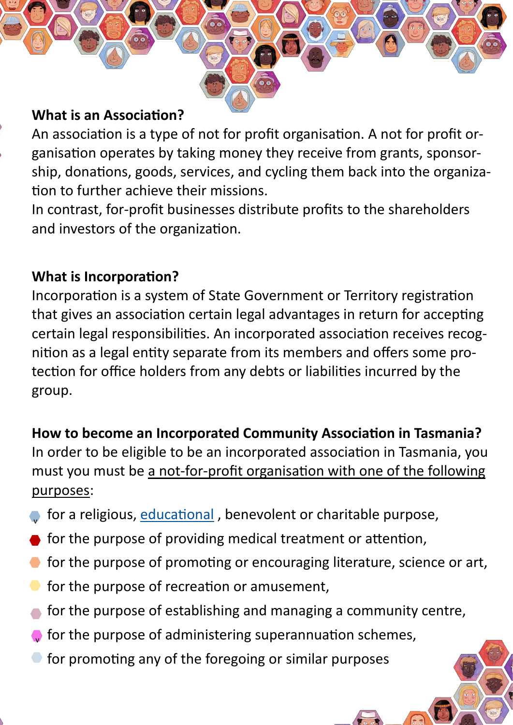#### **What is an Association?**

An association is a type of not for profit organisation. A not for profit organisation operates by taking money they receive from grants, sponsorship, donations, goods, services, and cycling them back into the organization to further achieve their missions.

In contrast, for-profit businesses distribute profits to the shareholders and investors of the organization.

### **What is Incorporation?**

Incorporation is a system of State Government or Territory registration that gives an association certain legal advantages in return for accepting certain legal responsibilities. An incorporated association receives recognition as a legal entity separate from its members and offers some protection for office holders from any debts or liabilities incurred by the group.

## **How to become an Incorporated Community Association in Tasmania?**

In order to be eligible to be an incorporated association in Tasmania, you must you must be a not-for-profit organisation with one of the following purposes:

- for a religious, educational, benevolent or charitable purpose, v
- for the purpose of providing medical treatment or attention,
- **for the purpose of promoting or encouraging literature, science or art,**
- for the purpose of recreation or amusement,
- for the purpose of establishing and managing a community centre,
- for the purpose of administering superannuation schemes, v
- for promoting any of the foregoing or similar purposes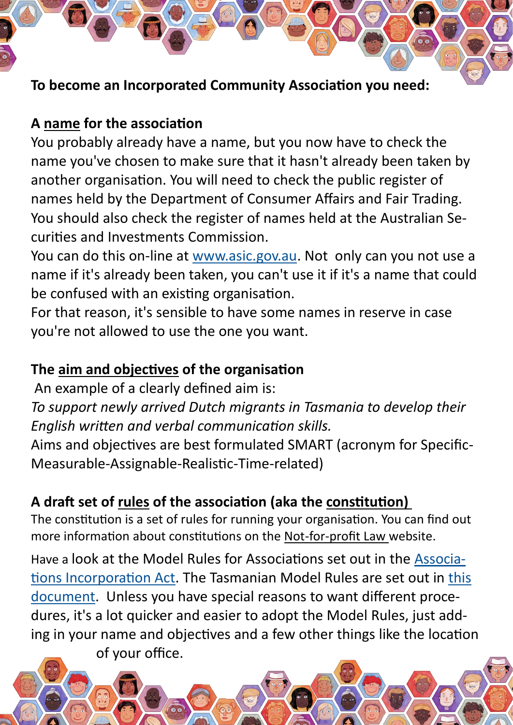### **To become an Incorporated Community Association you need:**

### **A name for the association**

You probably already have a name, but you now have to check the name you've chosen to make sure that it hasn't already been taken by another organisation. You will need to check the public register of names held by the Department of Consumer Affairs and Fair Trading. You should also check the register of names held at the Australian Securities and Investments Commission.

You can do this on-line at [www.asic.gov.au.](http://www.search.asic.gov.au/gns001.html) Not only can you not use a name if it's already been taken, you can't use it if it's a name that could be confused with an existing organisation.

For that reason, it's sensible to have some names in reserve in case you're not allowed to use the one you want.

## **The aim and objectives of the organisation**

An example of a clearly defined aim is:

*To support newly arrived Dutch migrants in Tasmania to develop their English written and verbal communication skills.*

Aims and objectives are best formulated SMART (acronym for Specific-Measurable-Assignable-Realistic-Time-related)

# **A draft set of rules of the association (aka the constitution)**

The constitution is a set of rules for running your organisation. You can find out more information about constitutions on the Not-for-profit Law website.

Have a look at the Model Rules for Associations set out in the [Associa](https://www.legislation.tas.gov.au/view/html/inforce/current/act-1964-064)[tions Incorporation Act.](https://www.legislation.tas.gov.au/view/html/inforce/current/act-1964-064) The Tasmanian Model Rules are set out in [this](https://www.legislation.tas.gov.au/view/html/inforce/current/sr-2017-072?query=((PrintType%3D%22act.reprint%22+AND+Amending%3C%3E%22pure%22+AND+PitValid%3D%40pointInTime(20200406000000))+OR+(PrintType%3D%22act.reprint%22+AND+Amending%3D%22pure%22+)  [document.](https://www.legislation.tas.gov.au/view/html/inforce/current/sr-2017-072?query=((PrintType%3D%22act.reprint%22+AND+Amending%3C%3E%22pure%22+AND+PitValid%3D%40pointInTime(20200406000000))+OR+(PrintType%3D%22act.reprint%22+AND+Amending%3D%22pure%22+) Unless you have special reasons to want different procedures, it's a lot quicker and easier to adopt the Model Rules, just adding in your name and objectives and a few other things like the location

of your office.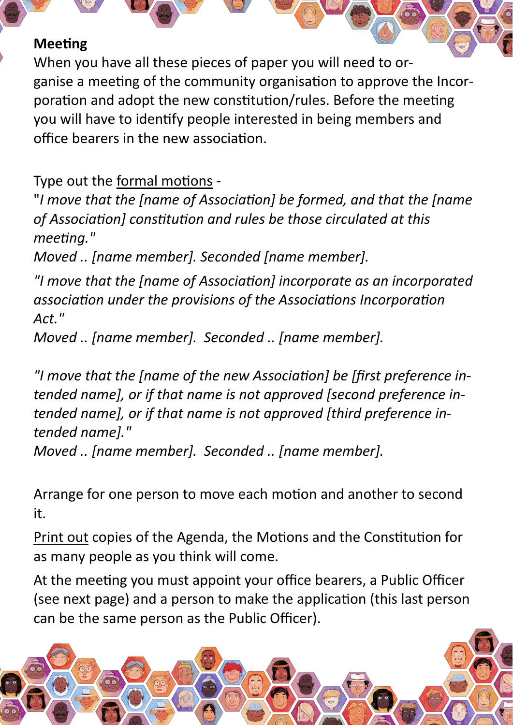#### **Meeting**

When you have all these pieces of paper you will need to organise a meeting of the community organisation to approve the Incorporation and adopt the new constitution/rules. Before the meeting you will have to identify people interested in being members and office bearers in the new association.

Type out the formal motions -

"*I move that the [name of Association] be formed, and that the [name of Association] constitution and rules be those circulated at this meeting."*

*Moved .. [name member]. Seconded [name member].*

*"I move that the [name of Association] incorporate as an incorporated association under the provisions of the Associations Incorporation Act."* 

*Moved .. [name member]. Seconded .. [name member].* 

*"I move that the [name of the new Association] be [first preference intended name], or if that name is not approved [second preference intended name], or if that name is not approved [third preference intended name]."*

*Moved .. [name member]. Seconded .. [name member].*

Arrange for one person to move each motion and another to second it.

Print out copies of the Agenda, the Motions and the Constitution for as many people as you think will come.

At the meeting you must appoint your office bearers, a Public Officer (see next page) and a person to make the application (this last person can be the same person as the Public Officer).

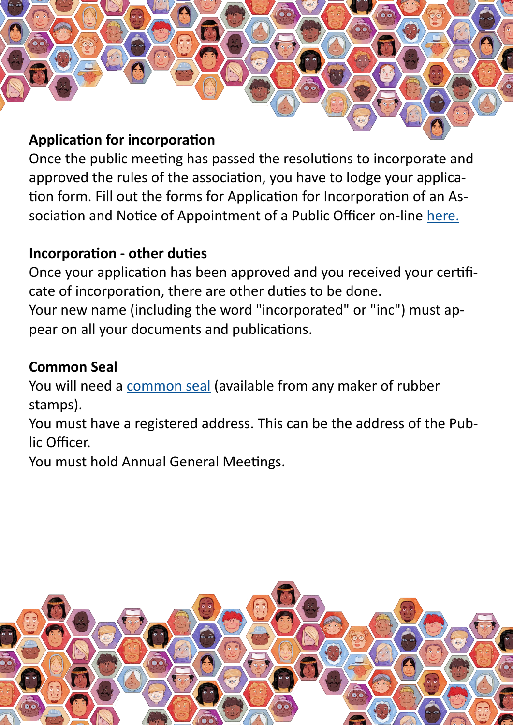

#### **Application for incorporation**

Once the public meeting has passed the resolutions to incorporate and approved the rules of the association, you have to lodge your application form. Fill out the forms for Application for Incorporation of an Association and Notice of Appointment of a Public Officer on-line [here.](http://www.consumer.tas.gov.au/forms#iaforms)

### **Incorporation - other duties**

Once your application has been approved and you received your certificate of incorporation, there are other duties to be done. Your new name (including the word "incorporated" or "inc") must appear on all your documents and publications.

## **Common Seal**

You will need a [common seal](http://www.ourcommunity.com.au/management/view_help_sheet.do?articleid=2505) (available from any maker of rubber stamps).

You must have a registered address. This can be the address of the Public Officer.

You must hold Annual General Meetings.